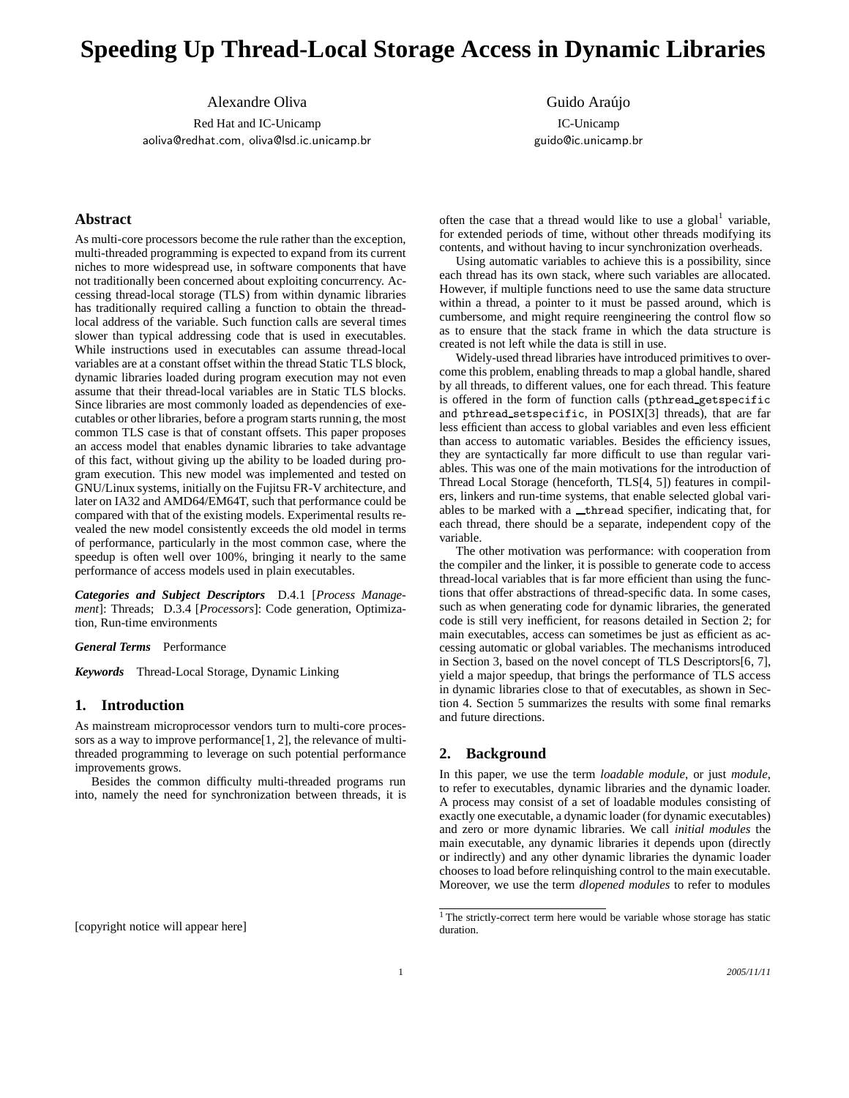# **Speeding Up Thread-Local Storage Access in Dynamic Libraries**

Alexandre Oliva

Red Hat and IC-Unicamp aoliva@redhat.com, oliva@lsd.ic.unicamp.br

# **Abstract**

As multi-core processors become the rule rather than the exception, multi-threaded programming is expected to expand from its current niches to more widespread use, in software components that have not traditionally been concerned about exploiting concurrency. Accessing thread-local storage (TLS) from within dynamic libraries has traditionally required calling a function to obtain the threadlocal address of the variable. Such function calls are several times slower than typical addressing code that is used in executables. While instructions used in executables can assume thread-local variables are at a constant offset within the thread Static TLS block, dynamic libraries loaded during program execution may not even assume that their thread-local variables are in Static TLS blocks. Since libraries are most commonly loaded as dependencies of executables or other libraries, before a program starts running, the most common TLS case is that of constant offsets. This paper proposes an access model that enables dynamic libraries to take advantage of this fact, without giving up the ability to be loaded during program execution. This new model was implemented and tested on GNU/Linux systems, initially on the Fujitsu FR-V architecture, and later on IA32 and AMD64/EM64T, such that performance could be compared with that of the existing models. Experimental results revealed the new model consistently exceeds the old model in terms of performance, particularly in the most common case, where the speedup is often well over 100%, bringing it nearly to the same performance of access models used in plain executables.

*Categories and Subject Descriptors* D.4.1 [*Process Management*]: Threads; D.3.4 [*Processors*]: Code generation, Optimization, Run-time environments

*General Terms* Performance

*Keywords* Thread-Local Storage, Dynamic Linking

# **1. Introduction**

As mainstream microprocessor vendors turn to multi-core processors as a way to improve performance[1, 2], the relevance of multithreaded programming to leverage on such potential performance improvements grows.

Besides the common difficulty multi-threaded programs run into, namely the need for synchronization between threads, it is

[copyright notice will appear here]

Guido Araújo IC-Unicamp guido@ic.unicamp.br

often the case that a thread would like to use a global<sup>1</sup> variable, for extended periods of time, without other threads modifying its contents, and without having to incur synchronization overheads.

Using automatic variables to achieve this is a possibility, since each thread has its own stack, where such variables are allocated. However, if multiple functions need to use the same data structure within a thread, a pointer to it must be passed around, which is cumbersome, and might require reengineering the control flow so as to ensure that the stack frame in which the data structure is created is not left while the data is still in use.

Widely-used thread libraries have introduced primitives to overcome this problem, enabling threads to map a global handle, shared by all threads, to different values, one for each thread. This feature is offered in the form of function calls (pthread getspecific and pthread setspecific, in POSIX[3] threads), that are far less efficient than access to global variables and even less efficient than access to automatic variables. Besides the efficiency issues, they are syntactically far more difficult to use than regular variables. This was one of the main motivations for the introduction of Thread Local Storage (henceforth, TLS[4, 5]) features in compilers, linkers and run-time systems, that enable selected global variables to be marked with a \_thread specifier, indicating that, for each thread, there should be a separate, independent copy of the variable.

The other motivation was performance: with cooperation from the compiler and the linker, it is possible to generate code to access thread-local variables that is far more efficient than using the functions that offer abstractions of thread-specific data. In some cases, such as when generating code for dynamic libraries, the generated code is still very inefficient, for reasons detailed in Section 2; for main executables, access can sometimes be just as efficient as accessing automatic or global variables. The mechanisms introduced in Section 3, based on the novel concept of TLS Descriptors[6, 7], yield a major speedup, that brings the performance of TLS access in dynamic libraries close to that of executables, as shown in Section 4. Section 5 summarizes the results with some final remarks and future directions.

# **2. Background**

In this paper, we use the term *loadable module*, or just *module*, to refer to executables, dynamic libraries and the dynamic loader. A process may consist of a set of loadable modules consisting of exactly one executable, a dynamic loader (for dynamic executables) and zero or more dynamic libraries. We call *initial modules* the main executable, any dynamic libraries it depends upon (directly or indirectly) and any other dynamic libraries the dynamic loader chooses to load before relinquishing control to the main executable. Moreover, we use the term *dlopened modules* to refer to modules

<sup>&</sup>lt;sup>1</sup> The strictly-correct term here would be variable whose storage has static duration.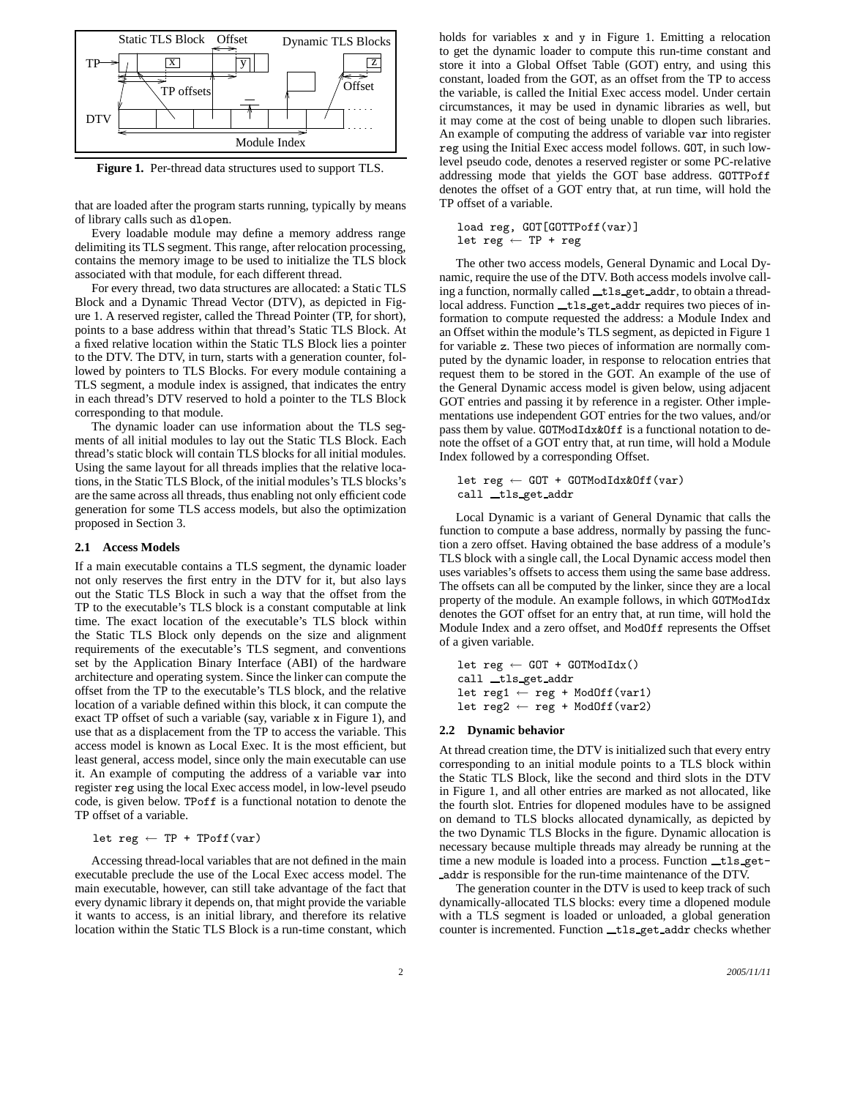

**Figure 1.** Per-thread data structures used to support TLS.

that are loaded after the program starts running, typically by means of library calls such as dlopen.

Every loadable module may define a memory address range delimiting its TLS segment. This range, after relocation processing, contains the memory image to be used to initialize the TLS block associated with that module, for each different thread.

For every thread, two data structures are allocated: a Static TLS Block and a Dynamic Thread Vector (DTV), as depicted in Figure 1. A reserved register, called the Thread Pointer (TP, for short), points to a base address within that thread's Static TLS Block. At a fixed relative location within the Static TLS Block lies a pointer to the DTV. The DTV, in turn, starts with a generation counter, followed by pointers to TLS Blocks. For every module containing a TLS segment, a module index is assigned, that indicates the entry in each thread's DTV reserved to hold a pointer to the TLS Block corresponding to that module.

The dynamic loader can use information about the TLS segments of all initial modules to lay out the Static TLS Block. Each thread's static block will contain TLS blocks for all initial modules. Using the same layout for all threads implies that the relative locations, in the Static TLS Block, of the initial modules's TLS blocks's are the same across all threads, thus enabling not only efficient code generation for some TLS access models, but also the optimization proposed in Section 3.

### **2.1 Access Models**

If a main executable contains a TLS segment, the dynamic loader not only reserves the first entry in the DTV for it, but also lays out the Static TLS Block in such a way that the offset from the TP to the executable's TLS block is a constant computable at link time. The exact location of the executable's TLS block within the Static TLS Block only depends on the size and alignment requirements of the executable's TLS segment, and conventions set by the Application Binary Interface (ABI) of the hardware architecture and operating system. Since the linker can compute the offset from the TP to the executable's TLS block, and the relative location of a variable defined within this block, it can compute the exact TP offset of such a variable (say, variable x in Figure 1), and use that as a displacement from the TP to access the variable. This access model is known as Local Exec. It is the most efficient, but least general, access model, since only the main executable can use it. An example of computing the address of a variable var into register reg using the local Exec access model, in low-level pseudo code, is given below. TPoff is a functional notation to denote the TP offset of a variable.

## let  $reg \leftarrow TP + TPoff(var)$

Accessing thread-local variables that are not defined in the main executable preclude the use of the Local Exec access model. The main executable, however, can still take advantage of the fact that every dynamic library it depends on, that might provide the variable it wants to access, is an initial library, and therefore its relative location within the Static TLS Block is a run-time constant, which holds for variables x and y in Figure 1. Emitting a relocation to get the dynamic loader to compute this run-time constant and store it into a Global Offset Table (GOT) entry, and using this constant, loaded from the GOT, as an offset from the TP to access the variable, is called the Initial Exec access model. Under certain circumstances, it may be used in dynamic libraries as well, but it may come at the cost of being unable to dlopen such libraries. An example of computing the address of variable var into register reg using the Initial Exec access model follows. GOT, in such lowlevel pseudo code, denotes a reserved register or some PC-relative addressing mode that yields the GOT base address. GOTTPoff denotes the offset of a GOT entry that, at run time, will hold the TP offset of a variable.

load reg, GOT[GOTTPoff(var)] let reg  $\leftarrow$  TP + reg

The other two access models, General Dynamic and Local Dynamic, require the use of the DTV. Both access models involve calling a function, normally called \_tls\_get\_addr, to obtain a threadlocal address. Function \_tls\_get\_addr requires two pieces of information to compute requested the address: a Module Index and an Offset within the module's TLS segment, as depicted in Figure 1 for variable z. These two pieces of information are normally computed by the dynamic loader, in response to relocation entries that request them to be stored in the GOT. An example of the use of the General Dynamic access model is given below, using adjacent GOT entries and passing it by reference in a register. Other implementations use independent GOT entries for the two values, and/or pass them by value. GOTModIdx&Off is a functional notation to denote the offset of a GOT entry that, at run time, will hold a Module Index followed by a corresponding Offset.

 $\begin{minipage}{0.9\linewidth} \textbf{let reg} \leftarrow \textbf{GOT} + \textbf{GOTModIdx\&Off\:(var)} \end{minipage}$ call tls get addr

Local Dynamic is a variant of General Dynamic that calls the function to compute a base address, normally by passing the function a zero offset. Having obtained the base address of a module's TLS block with a single call, the Local Dynamic access model then uses variables's offsets to access them using the same base address. The offsets can all be computed by the linker, since they are a local property of the module. An example follows, in which GOTModIdx denotes the GOT offset for an entry that, at run time, will hold the Module Index and a zero offset, and ModOff represents the Offset of a given variable.

let reg  $\leftarrow$  GOT + GOTModIdx() call \_tls\_get\_addr  $\texttt{let reg1} \leftarrow \texttt{reg} + \texttt{ModOff}(\texttt{var1})$ let reg2  $\leftarrow$  reg + ModOff(var2)

#### **2.2 Dynamic behavior**

At thread creation time, the DTV is initialized such that every entry corresponding to an initial module points to a TLS block within the Static TLS Block, like the second and third slots in the DTV in Figure 1, and all other entries are marked as not allocated, like the fourth slot. Entries for dlopened modules have to be assigned on demand to TLS blocks allocated dynamically, as depicted by the two Dynamic TLS Blocks in the figure. Dynamic allocation is necessary because multiple threads may already be running at the time a new module is loaded into a process. Function \_tls\_getaddr is responsible for the run-time maintenance of the DTV.

The generation counter in the DTV is used to keep track of such dynamically-allocated TLS blocks: every time a dlopened module with a TLS segment is loaded or unloaded, a global generation counter is incremented. Function \_tls\_get\_addr checks whether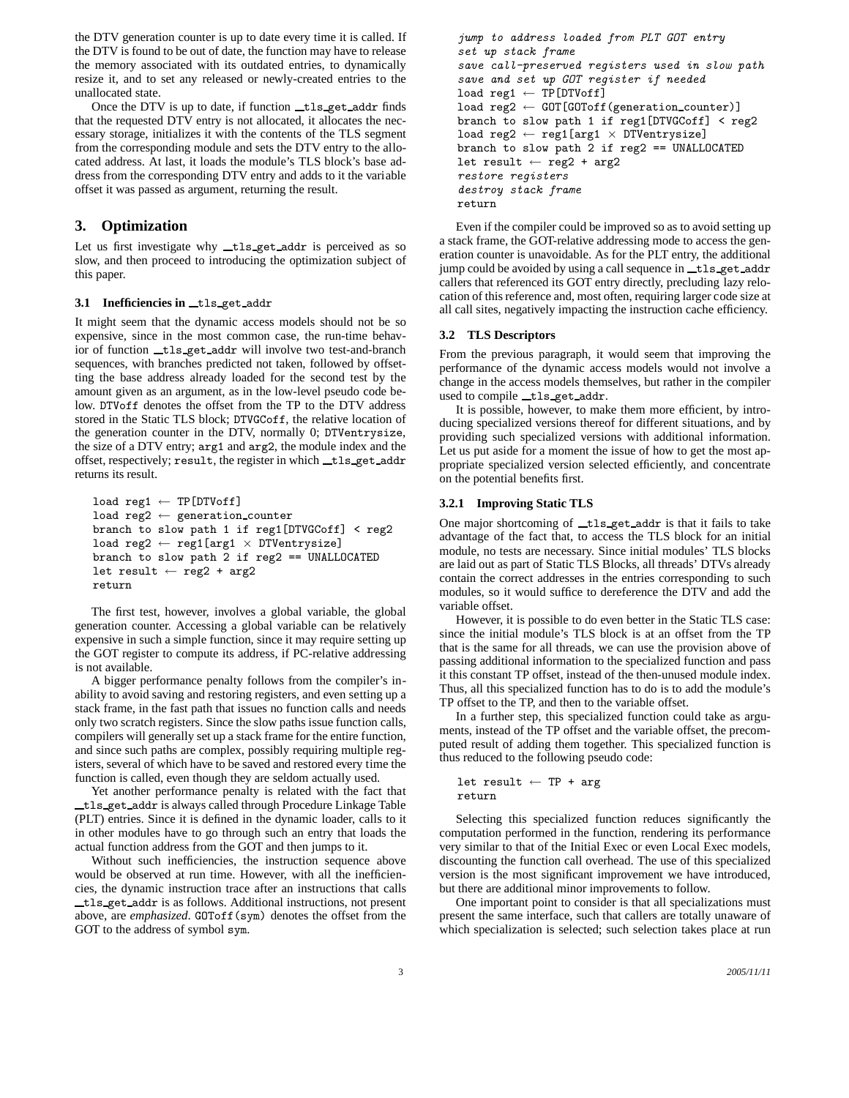the DTV generation counter is up to date every time it is called. If the DTV is found to be out of date, the function may have to release the memory associated with its outdated entries, to dynamically resize it, and to set any released or newly-created entries to the unallocated state.

Once the DTV is up to date, if function \_tls\_get\_addr finds that the requested DTV entry is not allocated, it allocates the necessary storage, initializes it with the contents of the TLS segment from the corresponding module and sets the DTV entry to the allocated address. At last, it loads the module's TLS block's base address from the corresponding DTV entry and adds to it the variable offset it was passed as argument, returning the result.

# **3. Optimization**

Let us first investigate why \_tls\_get\_addr is perceived as so slow, and then proceed to introducing the optimization subject of this paper.

## 3.1 Inefficiencies in tls get addr

It might seem that the dynamic access models should not be so expensive, since in the most common case, the run-time behavior of function \_tls\_get\_addr will involve two test-and-branch sequences, with branches predicted not taken, followed by offsetting the base address already loaded for the second test by the amount given as an argument, as in the low-level pseudo code below. DTVoff denotes the offset from the TP to the DTV address stored in the Static TLS block; DTVGCoff, the relative location of the generation counter in the DTV, normally 0; DTVentrysize, the size of a DTV entry; arg1 and arg2, the module index and the offset, respectively; result, the register in which  $_tls$  get addr returns its result.

```
load reg1 \leftarrow TP[DTVoff]
load reg2 ← generation counter
branch to slow path 1 if reg1[DTVGCoff] < reg2\mathtt{load~reg2~\leftarrow~reg1\,[arg1~\times~DTVentrysize]}branch to slow path 2 if reg2 == UNALLOCATED
let result \leftarrow reg2 + arg2
return
```
The first test, however, involves a global variable, the global generation counter. Accessing a global variable can be relatively expensive in such a simple function, since it may require setting up the GOT register to compute its address, if PC-relative addressing is not available.

A bigger performance penalty follows from the compiler's inability to avoid saving and restoring registers, and even setting up a stack frame, in the fast path that issues no function calls and needs only two scratch registers. Since the slow paths issue function calls, compilers will generally set up a stack frame for the entire function, and since such paths are complex, possibly requiring multiple registers, several of which have to be saved and restored every time the function is called, even though they are seldom actually used.

Yet another performance penalty is related with the fact that tls get addr is always called through Procedure Linkage Table (PLT) entries. Since it is defined in the dynamic loader, calls to it in other modules have to go through such an entry that loads the actual function address from the GOT and then jumps to it.

Without such inefficiencies, the instruction sequence above would be observed at run time. However, with all the inefficiencies, the dynamic instruction trace after an instructions that calls tls get addr is as follows. Additional instructions, not present above, are *emphasized*. GOToff(sym) denotes the offset from the GOT to the address of symbol sym.

```
jump to address loaded from PLT GOT entry
set up stack frame
save call-preserved registers used in slow path
save and set up GOT register if needed
load reg1 ← TP[DTVoff]
\texttt{load reg2} \gets \texttt{GOT}[\texttt{GOToff}(\texttt{generation\_counter})]branch to slow path 1 if reg1[DTVGCoff] < reg2
load reg2 \leftarrow reg1[arg1 \times DTVentrysize]
branch to slow path 2 if reg2 == UNALLOCATED
let result \leftarrow reg2 + arg2
restore registers
destroy stack frame
return
```
Even if the compiler could be improved so as to avoid setting up a stack frame, the GOT-relative addressing mode to access the generation counter is unavoidable. As for the PLT entry, the additional jump could be avoided by using a call sequence in tls get addr callers that referenced its GOT entry directly, precluding lazy relocation of this reference and, most often, requiring larger code size at all call sites, negatively impacting the instruction cache efficiency.

## **3.2 TLS Descriptors**

From the previous paragraph, it would seem that improving the performance of the dynamic access models would not involve a change in the access models themselves, but rather in the compiler used to compile \_\_tls\_get\_addr.

It is possible, however, to make them more efficient, by introducing specialized versions thereof for different situations, and by providing such specialized versions with additional information. Let us put aside for a moment the issue of how to get the most appropriate specialized version selected efficiently, and concentrate on the potential benefits first.

#### **3.2.1 Improving Static TLS**

One major shortcoming of \_tls\_get\_addr is that it fails to take advantage of the fact that, to access the TLS block for an initial module, no tests are necessary. Since initial modules' TLS blocks are laid out as part of Static TLS Blocks, all threads' DTVs already contain the correct addresses in the entries corresponding to such modules, so it would suffice to dereference the DTV and add the variable offset.

However, it is possible to do even better in the Static TLS case: since the initial module's TLS block is at an offset from the TP that is the same for all threads, we can use the provision above of passing additional information to the specialized function and pass it this constant TP offset, instead of the then-unused module index. Thus, all this specialized function has to do is to add the module's TP offset to the TP, and then to the variable offset.

In a further step, this specialized function could take as arguments, instead of the TP offset and the variable offset, the precomputed result of adding them together. This specialized function is thus reduced to the following pseudo code:

```
let result \leftarrow TP + arg
return
```
Selecting this specialized function reduces significantly the computation performed in the function, rendering its performance very similar to that of the Initial Exec or even Local Exec models, discounting the function call overhead. The use of this specialized version is the most significant improvement we have introduced, but there are additional minor improvements to follow.

One important point to consider is that all specializations must present the same interface, such that callers are totally unaware of which specialization is selected; such selection takes place at run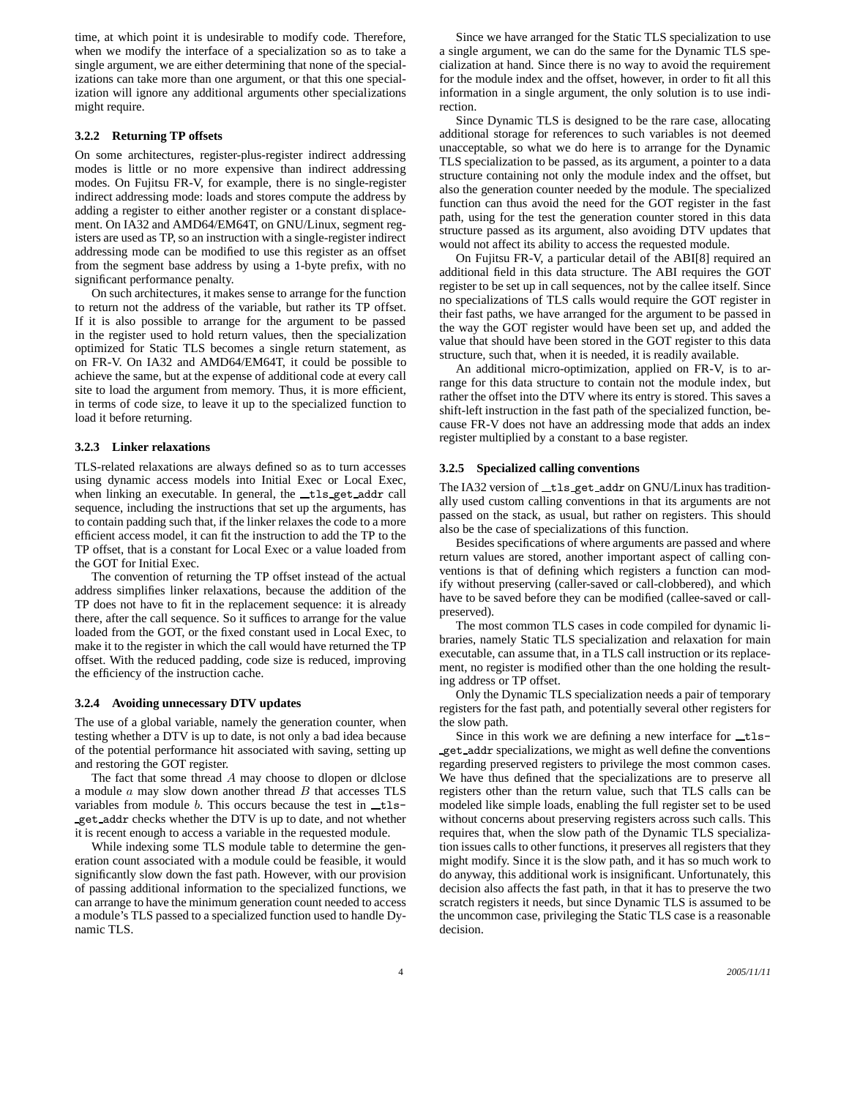time, at which point it is undesirable to modify code. Therefore, when we modify the interface of a specialization so as to take a single argument, we are either determining that none of the specializations can take more than one argument, or that this one specialization will ignore any additional arguments other specializations might require.

# **3.2.2 Returning TP offsets**

On some architectures, register-plus-register indirect addressing modes is little or no more expensive than indirect addressing modes. On Fujitsu FR-V, for example, there is no single-register indirect addressing mode: loads and stores compute the address by adding a register to either another register or a constant displacement. On IA32 and AMD64/EM64T, on GNU/Linux, segment registers are used as TP, so an instruction with a single-register indirect addressing mode can be modified to use this register as an offset from the segment base address by using a 1-byte prefix, with no significant performance penalty.

On such architectures, it makes sense to arrange for the function to return not the address of the variable, but rather its TP offset. If it is also possible to arrange for the argument to be passed in the register used to hold return values, then the specialization optimized for Static TLS becomes a single return statement, as on FR-V. On IA32 and AMD64/EM64T, it could be possible to achieve the same, but at the expense of additional code at every call site to load the argument from memory. Thus, it is more efficient, in terms of code size, to leave it up to the specialized function to load it before returning.

#### **3.2.3 Linker relaxations**

TLS-related relaxations are always defined so as to turn accesses using dynamic access models into Initial Exec or Local Exec, when linking an executable. In general, the tls get addr call sequence, including the instructions that set up the arguments, has to contain padding such that, if the linker relaxes the code to a more efficient access model, it can fit the instruction to add the TP to the TP offset, that is a constant for Local Exec or a value loaded from the GOT for Initial Exec.

The convention of returning the TP offset instead of the actual address simplifies linker relaxations, because the addition of the TP does not have to fit in the replacement sequence: it is already there, after the call sequence. So it suffices to arrange for the value loaded from the GOT, or the fixed constant used in Local Exec, to make it to the register in which the call would have returned the TP offset. With the reduced padding, code size is reduced, improving the efficiency of the instruction cache.

#### **3.2.4 Avoiding unnecessary DTV updates**

The use of a global variable, namely the generation counter, when testing whether a DTV is up to date, is not only a bad idea because of the potential performance hit associated with saving, setting up and restoring the GOT register.

The fact that some thread  $A$  may choose to dlopen or dlclose a module  $a$  may slow down another thread  $B$  that accesses  $TLS$ variables from module  $b$ . This occurs because the test in  $_t$ get addr checks whether the DTV is up to date, and not whether it is recent enough to access a variable in the requested module.

While indexing some TLS module table to determine the generation count associated with a module could be feasible, it would significantly slow down the fast path. However, with our provision of passing additional information to the specialized functions, we can arrange to have the minimum generation count needed to access a module's TLS passed to a specialized function used to handle Dynamic TLS.

Since we have arranged for the Static TLS specialization to use a single argument, we can do the same for the Dynamic TLS specialization at hand. Since there is no way to avoid the requirement for the module index and the offset, however, in order to fit all this information in a single argument, the only solution is to use indirection.

Since Dynamic TLS is designed to be the rare case, allocating additional storage for references to such variables is not deemed unacceptable, so what we do here is to arrange for the Dynamic TLS specialization to be passed, as its argument, a pointer to a data structure containing not only the module index and the offset, but also the generation counter needed by the module. The specialized function can thus avoid the need for the GOT register in the fast path, using for the test the generation counter stored in this data structure passed as its argument, also avoiding DTV updates that would not affect its ability to access the requested module.

On Fujitsu FR-V, a particular detail of the ABI[8] required an additional field in this data structure. The ABI requires the GOT register to be set up in call sequences, not by the callee itself. Since no specializations of TLS calls would require the GOT register in their fast paths, we have arranged for the argument to be passed in the way the GOT register would have been set up, and added the value that should have been stored in the GOT register to this data structure, such that, when it is needed, it is readily available.

An additional micro-optimization, applied on FR-V, is to arrange for this data structure to contain not the module index, but rather the offset into the DTV where its entry is stored. This saves a shift-left instruction in the fast path of the specialized function, because FR-V does not have an addressing mode that adds an index register multiplied by a constant to a base register.

#### **3.2.5 Specialized calling conventions**

The IA32 version of \_tls\_get\_addr on GNU/Linux has traditionally used custom calling conventions in that its arguments are not passed on the stack, as usual, but rather on registers. This should also be the case of specializations of this function.

Besides specifications of where arguments are passed and where return values are stored, another important aspect of calling conventions is that of defining which registers a function can modify without preserving (caller-saved or call-clobbered), and which have to be saved before they can be modified (callee-saved or callpreserved).

The most common TLS cases in code compiled for dynamic libraries, namely Static TLS specialization and relaxation for main executable, can assume that, in a TLS call instruction or its replacement, no register is modified other than the one holding the resulting address or TP offset.

Only the Dynamic TLS specialization needs a pair of temporary registers for the fast path, and potentially several other registers for the slow path.

Since in this work we are defining a new interface for  $_t$ tlsget addr specializations, we might as well define the conventions regarding preserved registers to privilege the most common cases. We have thus defined that the specializations are to preserve all registers other than the return value, such that TLS calls can be modeled like simple loads, enabling the full register set to be used without concerns about preserving registers across such calls. This requires that, when the slow path of the Dynamic TLS specialization issues calls to other functions, it preserves all registers that they might modify. Since it is the slow path, and it has so much work to do anyway, this additional work is insignificant. Unfortunately, this decision also affects the fast path, in that it has to preserve the two scratch registers it needs, but since Dynamic TLS is assumed to be the uncommon case, privileging the Static TLS case is a reasonable decision.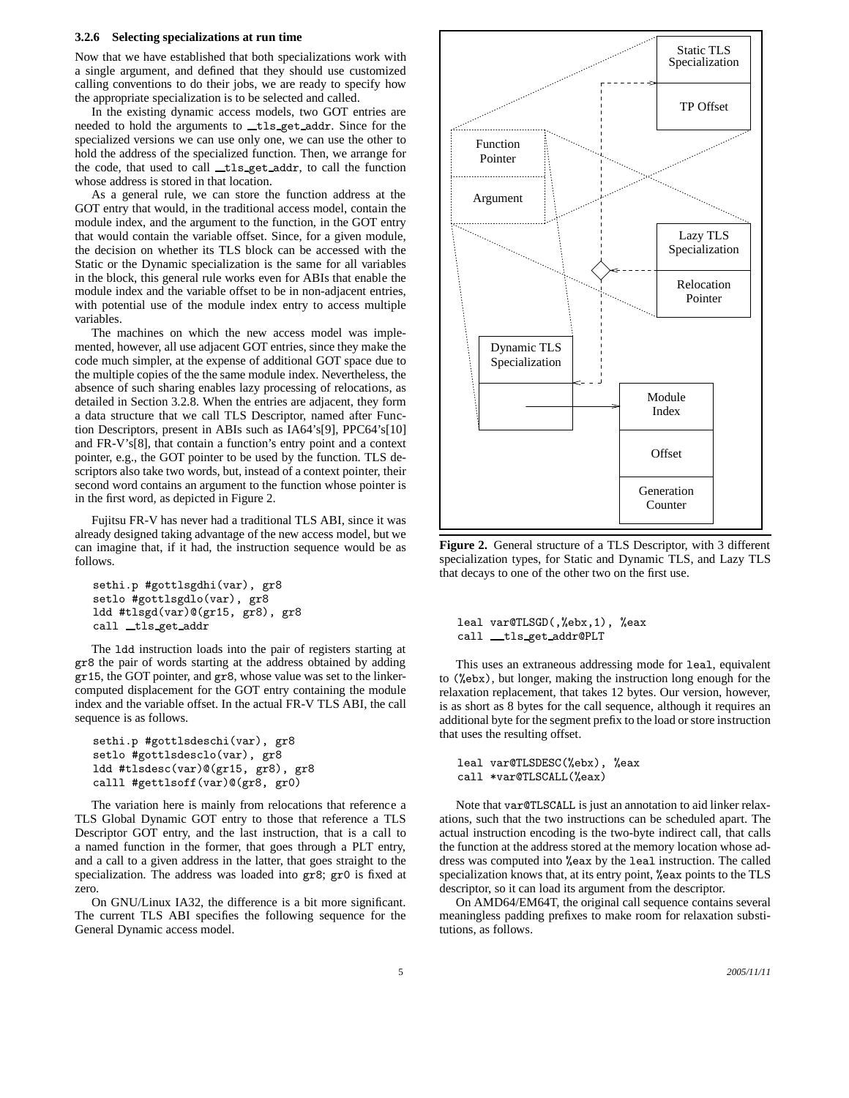#### **3.2.6 Selecting specializations at run time**

Now that we have established that both specializations work with a single argument, and defined that they should use customized calling conventions to do their jobs, we are ready to specify how the appropriate specialization is to be selected and called.

In the existing dynamic access models, two GOT entries are needed to hold the arguments to \_tls\_get\_addr. Since for the specialized versions we can use only one, we can use the other to hold the address of the specialized function. Then, we arrange for the code, that used to call \_tls\_get\_addr, to call the function whose address is stored in that location.

As a general rule, we can store the function address at the GOT entry that would, in the traditional access model, contain the module index, and the argument to the function, in the GOT entry that would contain the variable offset. Since, for a given module, the decision on whether its TLS block can be accessed with the Static or the Dynamic specialization is the same for all variables in the block, this general rule works even for ABIs that enable the module index and the variable offset to be in non-adjacent entries, with potential use of the module index entry to access multiple variables.

The machines on which the new access model was implemented, however, all use adjacent GOT entries, since they make the code much simpler, at the expense of additional GOT space due to the multiple copies of the the same module index. Nevertheless, the absence of such sharing enables lazy processing of relocations, as detailed in Section 3.2.8. When the entries are adjacent, they form a data structure that we call TLS Descriptor, named after Function Descriptors, present in ABIs such as IA64's[9], PPC64's[10] and FR-V's[8], that contain a function's entry point and a context pointer, e.g., the GOT pointer to be used by the function. TLS descriptors also take two words, but, instead of a context pointer, their second word contains an argument to the function whose pointer is in the first word, as depicted in Figure 2.

Fujitsu FR-V has never had a traditional TLS ABI, since it was already designed taking advantage of the new access model, but we can imagine that, if it had, the instruction sequence would be as follows.

```
sethi.p #gottlsgdhi(var), gr8
setlo #gottlsgdlo(var), gr8
ldd #tlsgd(var)@(gr15, gr8), gr8
call _tls_get_addr
```
The ldd instruction loads into the pair of registers starting at gr8 the pair of words starting at the address obtained by adding gr15, the GOT pointer, and gr8, whose value was set to the linkercomputed displacement for the GOT entry containing the module index and the variable offset. In the actual FR-V TLS ABI, the call sequence is as follows.

```
sethi.p #gottlsdeschi(var), gr8
setlo #gottlsdesclo(var), gr8
ldd #tlsdesc(var)@(gr15, gr8), gr8
calll #gettlsoff(var)@(gr8, gr0)
```
The variation here is mainly from relocations that reference a TLS Global Dynamic GOT entry to those that reference a TLS Descriptor GOT entry, and the last instruction, that is a call to a named function in the former, that goes through a PLT entry, and a call to a given address in the latter, that goes straight to the specialization. The address was loaded into gr8; gr0 is fixed at zero.

On GNU/Linux IA32, the difference is a bit more significant. The current TLS ABI specifies the following sequence for the General Dynamic access model.



**Figure 2.** General structure of a TLS Descriptor, with 3 different specialization types, for Static and Dynamic TLS, and Lazy TLS that decays to one of the other two on the first use.

leal var@TLSGD(,%ebx,1), %eax call \_\_tls\_get\_addr@PLT

This uses an extraneous addressing mode for leal, equivalent to (%ebx), but longer, making the instruction long enough for the relaxation replacement, that takes 12 bytes. Our version, however, is as short as 8 bytes for the call sequence, although it requires an additional byte for the segment prefix to the load or store instruction that uses the resulting offset.

```
leal var@TLSDESC(%ebx), %eax
call *var@TLSCALL(%eax)
```
Note that var@TLSCALL is just an annotation to aid linker relaxations, such that the two instructions can be scheduled apart. The actual instruction encoding is the two-byte indirect call, that calls the function at the address stored at the memory location whose address was computed into %eax by the leal instruction. The called specialization knows that, at its entry point, %eax points to the TLS descriptor, so it can load its argument from the descriptor.

On AMD64/EM64T, the original call sequence contains several meaningless padding prefixes to make room for relaxation substitutions, as follows.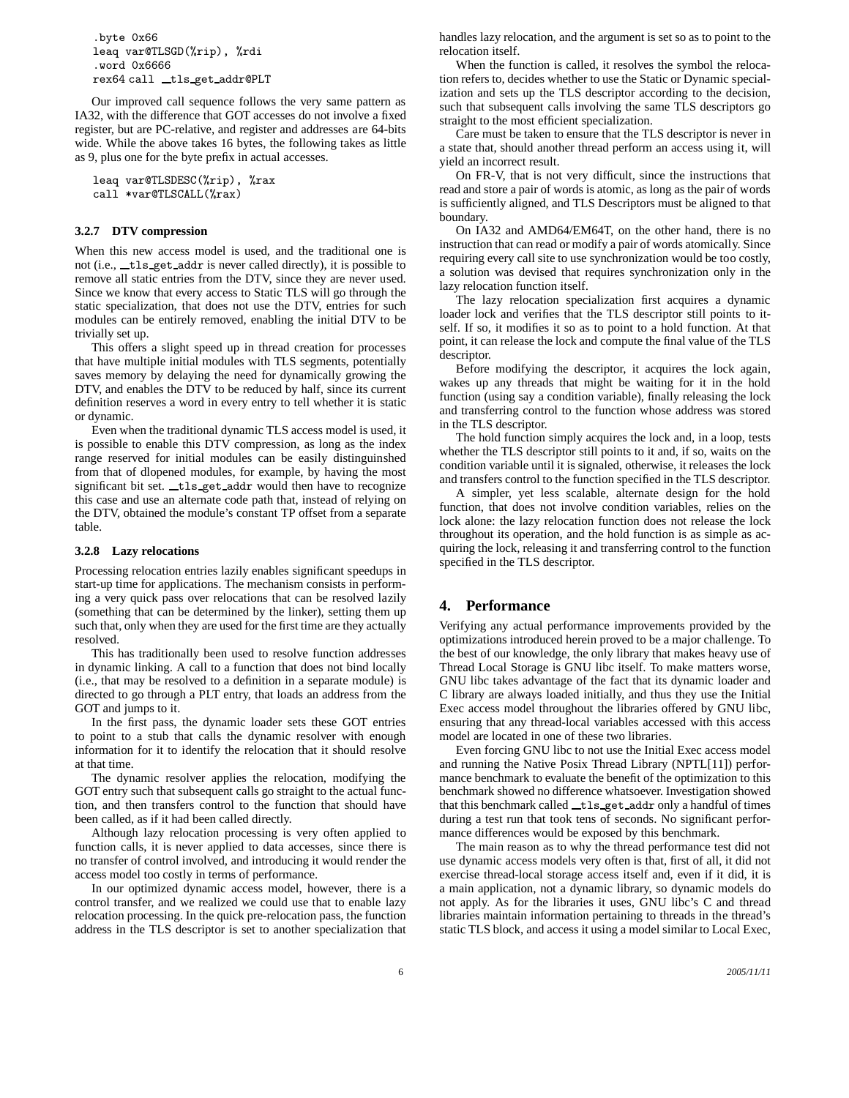```
.byte 0x66
leaq var@TLSGD(%rip), %rdi
.word 0x6666
rex64 call _tls_get_addr@PLT
```
Our improved call sequence follows the very same pattern as IA32, with the difference that GOT accesses do not involve a fixed register, but are PC-relative, and register and addresses are 64-bits wide. While the above takes 16 bytes, the following takes as little as 9, plus one for the byte prefix in actual accesses.

```
leaq var@TLSDESC(%rip), %rax
call *var@TLSCALL(%rax)
```
#### **3.2.7 DTV compression**

When this new access model is used, and the traditional one is not (i.e., \_tls\_get\_addr is never called directly), it is possible to remove all static entries from the DTV, since they are never used. Since we know that every access to Static TLS will go through the static specialization, that does not use the DTV, entries for such modules can be entirely removed, enabling the initial DTV to be trivially set up.

This offers a slight speed up in thread creation for processes that have multiple initial modules with TLS segments, potentially saves memory by delaying the need for dynamically growing the DTV, and enables the DTV to be reduced by half, since its current definition reserves a word in every entry to tell whether it is static or dynamic.

Even when the traditional dynamic TLS access model is used, it is possible to enable this DTV compression, as long as the index range reserved for initial modules can be easily distinguinshed from that of dlopened modules, for example, by having the most significant bit set. tls get addr would then have to recognize this case and use an alternate code path that, instead of relying on the DTV, obtained the module's constant TP offset from a separate table.

#### **3.2.8 Lazy relocations**

Processing relocation entries lazily enables significant speedups in start-up time for applications. The mechanism consists in performing a very quick pass over relocations that can be resolved lazily (something that can be determined by the linker), setting them up such that, only when they are used for the first time are they actually resolved.

This has traditionally been used to resolve function addresses in dynamic linking. A call to a function that does not bind locally (i.e., that may be resolved to a definition in a separate module) is directed to go through a PLT entry, that loads an address from the GOT and jumps to it.

In the first pass, the dynamic loader sets these GOT entries to point to a stub that calls the dynamic resolver with enough information for it to identify the relocation that it should resolve at that time.

The dynamic resolver applies the relocation, modifying the GOT entry such that subsequent calls go straight to the actual function, and then transfers control to the function that should have been called, as if it had been called directly.

Although lazy relocation processing is very often applied to function calls, it is never applied to data accesses, since there is no transfer of control involved, and introducing it would render the access model too costly in terms of performance.

In our optimized dynamic access model, however, there is a control transfer, and we realized we could use that to enable lazy relocation processing. In the quick pre-relocation pass, the function address in the TLS descriptor is set to another specialization that handles lazy relocation, and the argument is set so as to point to the relocation itself.

When the function is called, it resolves the symbol the relocation refers to, decides whether to use the Static or Dynamic specialization and sets up the TLS descriptor according to the decision, such that subsequent calls involving the same TLS descriptors go straight to the most efficient specialization.

Care must be taken to ensure that the TLS descriptor is never in a state that, should another thread perform an access using it, will yield an incorrect result.

On FR-V, that is not very difficult, since the instructions that read and store a pair of words is atomic, as long as the pair of words is sufficiently aligned, and TLS Descriptors must be aligned to that boundary.

On IA32 and AMD64/EM64T, on the other hand, there is no instruction that can read or modify a pair of words atomically. Since requiring every call site to use synchronization would be too costly, a solution was devised that requires synchronization only in the lazy relocation function itself.

The lazy relocation specialization first acquires a dynamic loader lock and verifies that the TLS descriptor still points to itself. If so, it modifies it so as to point to a hold function. At that point, it can release the lock and compute the final value of the TLS descriptor.

Before modifying the descriptor, it acquires the lock again, wakes up any threads that might be waiting for it in the hold function (using say a condition variable), finally releasing the lock and transferring control to the function whose address was stored in the TLS descriptor.

The hold function simply acquires the lock and, in a loop, tests whether the TLS descriptor still points to it and, if so, waits on the condition variable until it is signaled, otherwise, it releases the lock and transfers control to the function specified in the TLS descriptor.

A simpler, yet less scalable, alternate design for the hold function, that does not involve condition variables, relies on the lock alone: the lazy relocation function does not release the lock throughout its operation, and the hold function is as simple as acquiring the lock, releasing it and transferring control to the function specified in the TLS descriptor.

#### **4. Performance**

Verifying any actual performance improvements provided by the optimizations introduced herein proved to be a major challenge. To the best of our knowledge, the only library that makes heavy use of Thread Local Storage is GNU libc itself. To make matters worse, GNU libc takes advantage of the fact that its dynamic loader and C library are always loaded initially, and thus they use the Initial Exec access model throughout the libraries offered by GNU libc, ensuring that any thread-local variables accessed with this access model are located in one of these two libraries.

Even forcing GNU libc to not use the Initial Exec access model and running the Native Posix Thread Library (NPTL[11]) performance benchmark to evaluate the benefit of the optimization to this benchmark showed no difference whatsoever. Investigation showed that this benchmark called \_tls\_get\_addr only a handful of times during a test run that took tens of seconds. No significant performance differences would be exposed by this benchmark.

The main reason as to why the thread performance test did not use dynamic access models very often is that, first of all, it did not exercise thread-local storage access itself and, even if it did, it is a main application, not a dynamic library, so dynamic models do not apply. As for the libraries it uses, GNU libc's C and thread libraries maintain information pertaining to threads in the thread's static TLS block, and access it using a model similar to Local Exec,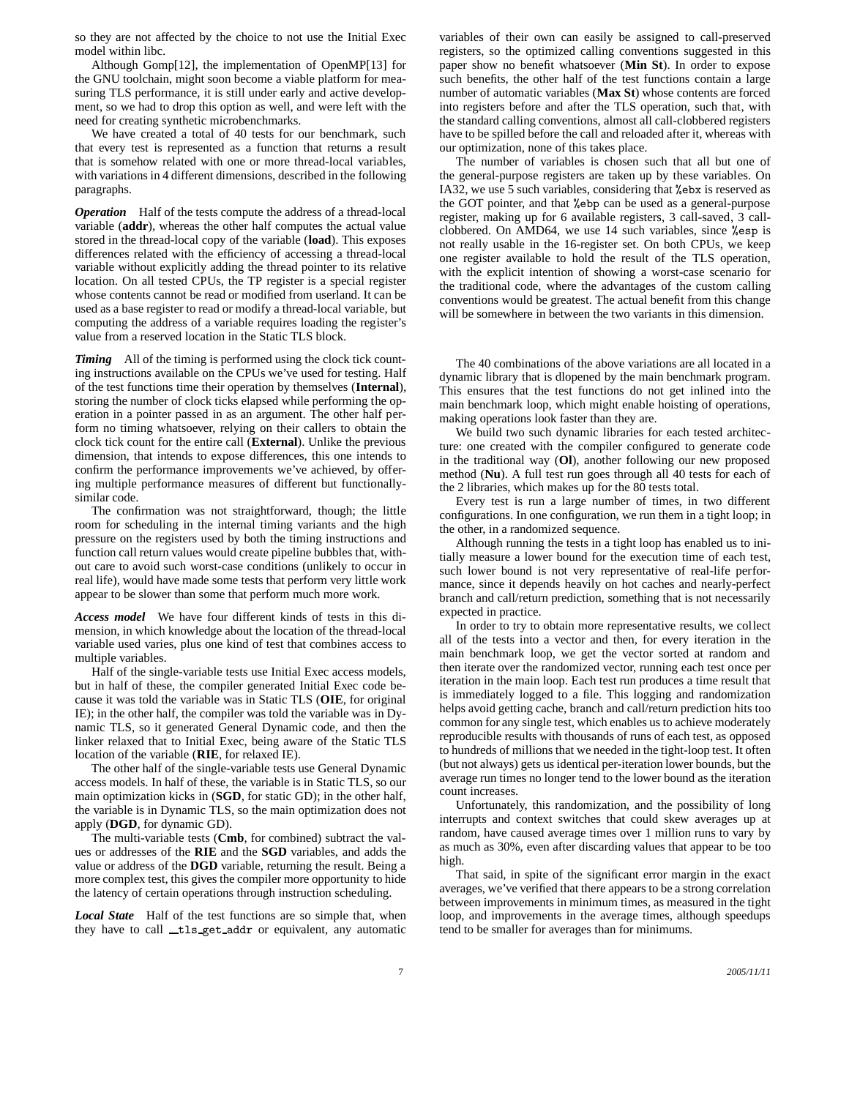so they are not affected by the choice to not use the Initial Exec model within libc.

Although Gomp[12], the implementation of OpenMP[13] for the GNU toolchain, might soon become a viable platform for measuring TLS performance, it is still under early and active development, so we had to drop this option as well, and were left with the need for creating synthetic microbenchmarks.

We have created a total of 40 tests for our benchmark, such that every test is represented as a function that returns a result that is somehow related with one or more thread-local variables, with variations in 4 different dimensions, described in the following paragraphs.

*Operation* Half of the tests compute the address of a thread-local variable (**addr**), whereas the other half computes the actual value stored in the thread-local copy of the variable (**load**). This exposes differences related with the efficiency of accessing a thread-local variable without explicitly adding the thread pointer to its relative location. On all tested CPUs, the TP register is a special register whose contents cannot be read or modified from userland. It can be used as a base register to read or modify a thread-local variable, but computing the address of a variable requires loading the register's value from a reserved location in the Static TLS block.

**Timing** All of the timing is performed using the clock tick counting instructions available on the CPUs we've used for testing. Half of the test functions time their operation by themselves (**Internal**), storing the number of clock ticks elapsed while performing the operation in a pointer passed in as an argument. The other half perform no timing whatsoever, relying on their callers to obtain the clock tick count for the entire call (**External**). Unlike the previous dimension, that intends to expose differences, this one intends to confirm the performance improvements we've achieved, by offering multiple performance measures of different but functionallysimilar code.

The confirmation was not straightforward, though; the little room for scheduling in the internal timing variants and the high pressure on the registers used by both the timing instructions and function call return values would create pipeline bubbles that, without care to avoid such worst-case conditions (unlikely to occur in real life), would have made some tests that perform very little work appear to be slower than some that perform much more work.

*Access model* We have four different kinds of tests in this dimension, in which knowledge about the location of the thread-local variable used varies, plus one kind of test that combines access to multiple variables.

Half of the single-variable tests use Initial Exec access models, but in half of these, the compiler generated Initial Exec code because it was told the variable was in Static TLS (**OIE**, for original IE); in the other half, the compiler was told the variable was in Dynamic TLS, so it generated General Dynamic code, and then the linker relaxed that to Initial Exec, being aware of the Static TLS location of the variable (**RIE**, for relaxed IE).

The other half of the single-variable tests use General Dynamic access models. In half of these, the variable is in Static TLS, so our main optimization kicks in (**SGD**, for static GD); in the other half, the variable is in Dynamic TLS, so the main optimization does not apply (**DGD**, for dynamic GD).

The multi-variable tests (**Cmb**, for combined) subtract the values or addresses of the **RIE** and the **SGD** variables, and adds the value or address of the **DGD** variable, returning the result. Being a more complex test, this gives the compiler more opportunity to hide the latency of certain operations through instruction scheduling.

*Local State* Half of the test functions are so simple that, when they have to call \_tls\_get\_addr or equivalent, any automatic

variables of their own can easily be assigned to call-preserved registers, so the optimized calling conventions suggested in this paper show no benefit whatsoever (**Min St**). In order to expose such benefits, the other half of the test functions contain a large number of automatic variables (**Max St**) whose contents are forced into registers before and after the TLS operation, such that, with the standard calling conventions, almost all call-clobbered registers have to be spilled before the call and reloaded after it, whereas with our optimization, none of this takes place.

The number of variables is chosen such that all but one of the general-purpose registers are taken up by these variables. On IA32, we use 5 such variables, considering that %ebx is reserved as the GOT pointer, and that %ebp can be used as a general-purpose register, making up for 6 available registers, 3 call-saved, 3 callclobbered. On AMD64, we use 14 such variables, since %esp is not really usable in the 16-register set. On both CPUs, we keep one register available to hold the result of the TLS operation, with the explicit intention of showing a worst-case scenario for the traditional code, where the advantages of the custom calling conventions would be greatest. The actual benefit from this change will be somewhere in between the two variants in this dimension.

The 40 combinations of the above variations are all located in a dynamic library that is dlopened by the main benchmark program. This ensures that the test functions do not get inlined into the main benchmark loop, which might enable hoisting of operations, making operations look faster than they are.

We build two such dynamic libraries for each tested architecture: one created with the compiler configured to generate code in the traditional way (**Ol**), another following our new proposed method (**Nu**). A full test run goes through all 40 tests for each of the 2 libraries, which makes up for the 80 tests total.

Every test is run a large number of times, in two different configurations. In one configuration, we run them in a tight loop; in the other, in a randomized sequence.

Although running the tests in a tight loop has enabled us to initially measure a lower bound for the execution time of each test, such lower bound is not very representative of real-life performance, since it depends heavily on hot caches and nearly-perfect branch and call/return prediction, something that is not necessarily expected in practice.

In order to try to obtain more representative results, we collect all of the tests into a vector and then, for every iteration in the main benchmark loop, we get the vector sorted at random and then iterate over the randomized vector, running each test once per iteration in the main loop. Each test run produces a time result that is immediately logged to a file. This logging and randomization helps avoid getting cache, branch and call/return prediction hits too common for any single test, which enables us to achieve moderately reproducible results with thousands of runs of each test, as opposed to hundreds of millions that we needed in the tight-loop test. It often (but not always) gets us identical per-iteration lower bounds, but the average run times no longer tend to the lower bound as the iteration count increases.

Unfortunately, this randomization, and the possibility of long interrupts and context switches that could skew averages up at random, have caused average times over 1 million runs to vary by as much as 30%, even after discarding values that appear to be too high.

That said, in spite of the significant error margin in the exact averages, we've verified that there appears to be a strong correlation between improvements in minimum times, as measured in the tight loop, and improvements in the average times, although speedups tend to be smaller for averages than for minimums.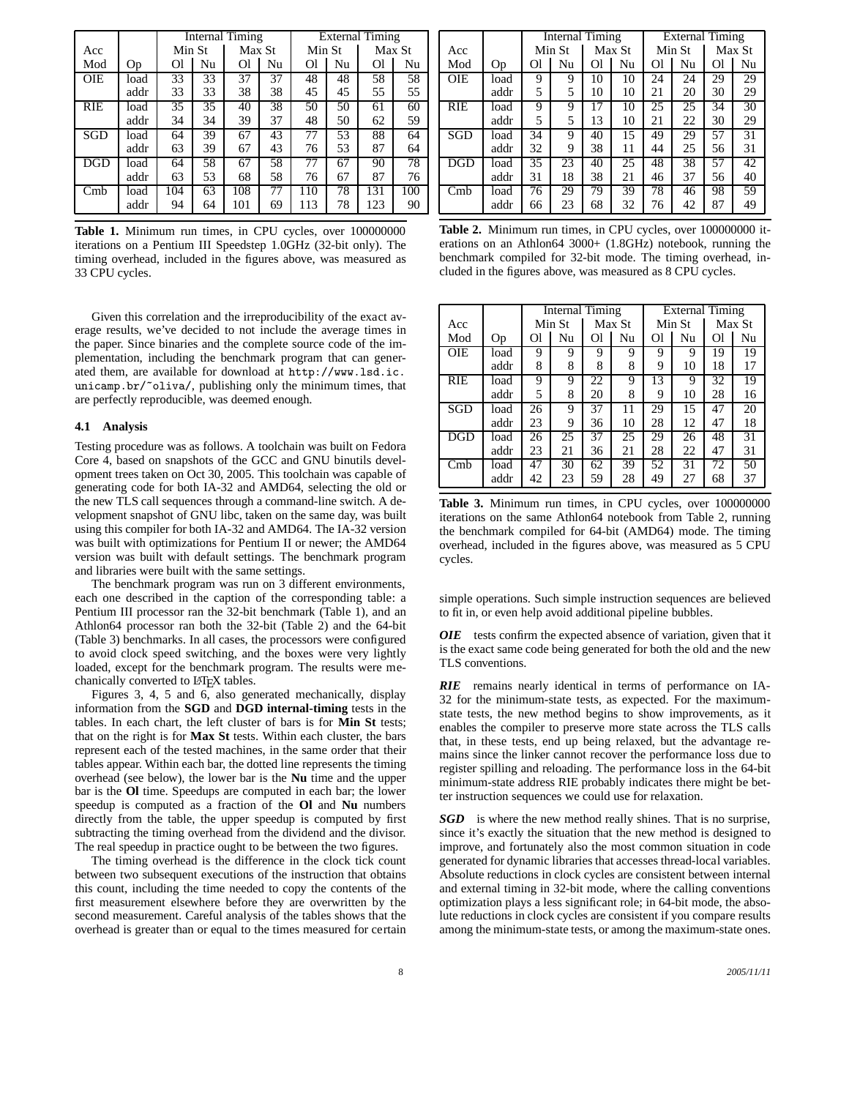|            |      | <b>Internal Timing</b> |    |        |    | <b>External Timing</b> |    |        |     |
|------------|------|------------------------|----|--------|----|------------------------|----|--------|-----|
| Acc        |      | Min St                 |    | Max St |    | Min St                 |    | Max St |     |
| Mod        | Op   | Ol                     | Nu | Ωl     | Nu | Ωl                     | Nu | Ωl     | Nu  |
| <b>OIE</b> | load | 33                     | 33 | 37     | 37 | 48                     | 48 | 58     | 58  |
|            | addr | 33                     | 33 | 38     | 38 | 45                     | 45 | 55     | 55  |
| RIE        | load | 35                     | 35 | 40     | 38 | 50                     | 50 | 61     | 60  |
|            | addr | 34                     | 34 | 39     | 37 | 48                     | 50 | 62     | 59  |
| SGD        | load | 64                     | 39 | 67     | 43 | 77                     | 53 | 88     | 64  |
|            | addr | 63                     | 39 | 67     | 43 | 76                     | 53 | 87     | 64  |
| <b>DGD</b> | load | 64                     | 58 | 67     | 58 | 77                     | 67 | 90     | 78  |
|            | addr | 63                     | 53 | 68     | 58 | 76                     | 67 | 87     | 76  |
| Cmb        | load | 104                    | 63 | 108    | 77 | 110                    | 78 | 131    | 100 |
|            | addr | 94                     | 64 | 101    | 69 | 113                    | 78 | 123    | 90  |

**Table 1.** Minimum run times, in CPU cycles, over 100000000 iterations on a Pentium III Speedstep 1.0GHz (32-bit only). The timing overhead, included in the figures above, was measured as 33 CPU cycles.

Given this correlation and the irreproducibility of the exact average results, we've decided to not include the average times in the paper. Since binaries and the complete source code of the implementation, including the benchmark program that can generated them, are available for download at http://www.lsd.ic. unicamp.br/~oliva/, publishing only the minimum times, that are perfectly reproducible, was deemed enough.

## **4.1 Analysis**

Testing procedure was as follows. A toolchain was built on Fedora Core 4, based on snapshots of the GCC and GNU binutils development trees taken on Oct 30, 2005. This toolchain was capable of generating code for both IA-32 and AMD64, selecting the old or the new TLS call sequences through a command-line switch. A development snapshot of GNU libc, taken on the same day, was built using this compiler for both IA-32 and AMD64. The IA-32 version was built with optimizations for Pentium II or newer; the AMD64 version was built with default settings. The benchmark program and libraries were built with the same settings.

The benchmark program was run on 3 different environments, each one described in the caption of the corresponding table: a Pentium III processor ran the 32-bit benchmark (Table 1), and an Athlon64 processor ran both the 32-bit (Table 2) and the 64-bit (Table 3) benchmarks. In all cases, the processors were configured to avoid clock speed switching, and the boxes were very lightly loaded, except for the benchmark program. The results were mechanically converted to LATEX tables.

Figures 3, 4, 5 and 6, also generated mechanically, display information from the **SGD** and **DGD internal-timing** tests in the tables. In each chart, the left cluster of bars is for **Min St** tests; that on the right is for **Max St** tests. Within each cluster, the bars represent each of the tested machines, in the same order that their tables appear. Within each bar, the dotted line represents the timing overhead (see below), the lower bar is the **Nu** time and the upper bar is the **Ol** time. Speedups are computed in each bar; the lower speedup is computed as a fraction of the **Ol** and **Nu** numbers directly from the table, the upper speedup is computed by first subtracting the timing overhead from the dividend and the divisor. The real speedup in practice ought to be between the two figures.

The timing overhead is the difference in the clock tick count between two subsequent executions of the instruction that obtains this count, including the time needed to copy the contents of the first measurement elsewhere before they are overwritten by the second measurement. Careful analysis of the tables shows that the overhead is greater than or equal to the times measured for certain

|            |      | <b>Internal Timing</b> |    |        |    | <b>External Timing</b> |    |        |                 |  |
|------------|------|------------------------|----|--------|----|------------------------|----|--------|-----------------|--|
| Acc        |      | Min St                 |    | Max St |    | Min St                 |    | Max St |                 |  |
| Mod        | Op   | Оl                     | Nu | Οl     | Nu | Οl                     | Nu | Оl     | Nu              |  |
| <b>OIE</b> | load | 9                      | 9  | 10     | 10 | 24                     | 24 | 29     | 29              |  |
|            | addr | 5                      | 5  | 10     | 10 | 21                     | 20 | 30     | 29              |  |
| RIE        | load | 9                      | 9  | 17     | 10 | 25                     | 25 | 34     | $\overline{30}$ |  |
|            | addr | 5                      | 5  | 13     | 10 | 21                     | 22 | 30     | 29              |  |
| SGD        | load | 34                     | 9  | 40     | 15 | 49                     | 29 | 57     | 31              |  |
|            | addr | 32                     | 9  | 38     | 11 | 44                     | 25 | 56     | 31              |  |
| <b>DGD</b> | load | 35                     | 23 | 40     | 25 | 48                     | 38 | 57     | 42              |  |
|            | addr | 31                     | 18 | 38     | 21 | 46                     | 37 | 56     | 40              |  |
| Cmb        | load | 76                     | 29 | 79     | 39 | 78                     | 46 | 98     | 59              |  |
|            | addr | 66                     | 23 | 68     | 32 | 76                     | 42 | 87     | 49              |  |

Table 2. Minimum run times, in CPU cycles, over 100000000 iterations on an Athlon64 3000+ (1.8GHz) notebook, running the benchmark compiled for 32-bit mode. The timing overhead, included in the figures above, was measured as 8 CPU cycles.

|            |      | <b>Internal Timing</b> |    |        |    | <b>External Timing</b> |    |        |                 |  |
|------------|------|------------------------|----|--------|----|------------------------|----|--------|-----------------|--|
| Acc        |      | Min St                 |    | Max St |    | Min St                 |    | Max St |                 |  |
| Mod        | Op   | Οl                     | Nu | Οl     | Nu | Οl                     | Nu | Ωl     | Nu              |  |
| <b>OIE</b> | load | 9                      | 9  | 9      | 9  | 9                      | 9  | 19     | 19              |  |
|            | addr | 8                      | 8  | 8      | 8  | 9                      | 10 | 18     | 17              |  |
| <b>RIE</b> | load | 9                      | 9  | 22     | 9  | 13                     | 9  | 32     | 19              |  |
|            | addr | 5                      | 8  | 20     | 8  | 9                      | 10 | 28     | 16              |  |
| SGD        | load | 26                     | 9  | 37     | 11 | 29                     | 15 | 47     | 20              |  |
|            | addr | 23                     | 9  | 36     | 10 | 28                     | 12 | 47     | 18              |  |
| DGD        | load | 26                     | 25 | 37     | 25 | 29                     | 26 | 48     | $\overline{31}$ |  |
|            | addr | 23                     | 21 | 36     | 21 | 28                     | 22 | 47     | 31              |  |
| Cmb        | load | 47                     | 30 | 62     | 39 | 52                     | 31 | 72     | 50              |  |
|            | addr | 42                     | 23 | 59     | 28 | 49                     | 27 | 68     | 37              |  |

**Table 3.** Minimum run times, in CPU cycles, over 100000000 iterations on the same Athlon64 notebook from Table 2, running the benchmark compiled for 64-bit (AMD64) mode. The timing overhead, included in the figures above, was measured as 5 CPU cycles.

simple operations. Such simple instruction sequences are believed to fit in, or even help avoid additional pipeline bubbles.

*OIE* tests confirm the expected absence of variation, given that it is the exact same code being generated for both the old and the new TLS conventions.

*RIE* remains nearly identical in terms of performance on IA-32 for the minimum-state tests, as expected. For the maximumstate tests, the new method begins to show improvements, as it enables the compiler to preserve more state across the TLS calls that, in these tests, end up being relaxed, but the advantage remains since the linker cannot recover the performance loss due to register spilling and reloading. The performance loss in the 64-bit minimum-state address RIE probably indicates there might be better instruction sequences we could use for relaxation.

*SGD* is where the new method really shines. That is no surprise, since it's exactly the situation that the new method is designed to improve, and fortunately also the most common situation in code generated for dynamic libraries that accesses thread-local variables. Absolute reductions in clock cycles are consistent between internal and external timing in 32-bit mode, where the calling conventions optimization plays a less significant role; in 64-bit mode, the absolute reductions in clock cycles are consistent if you compare results among the minimum-state tests, or among the maximum-state ones.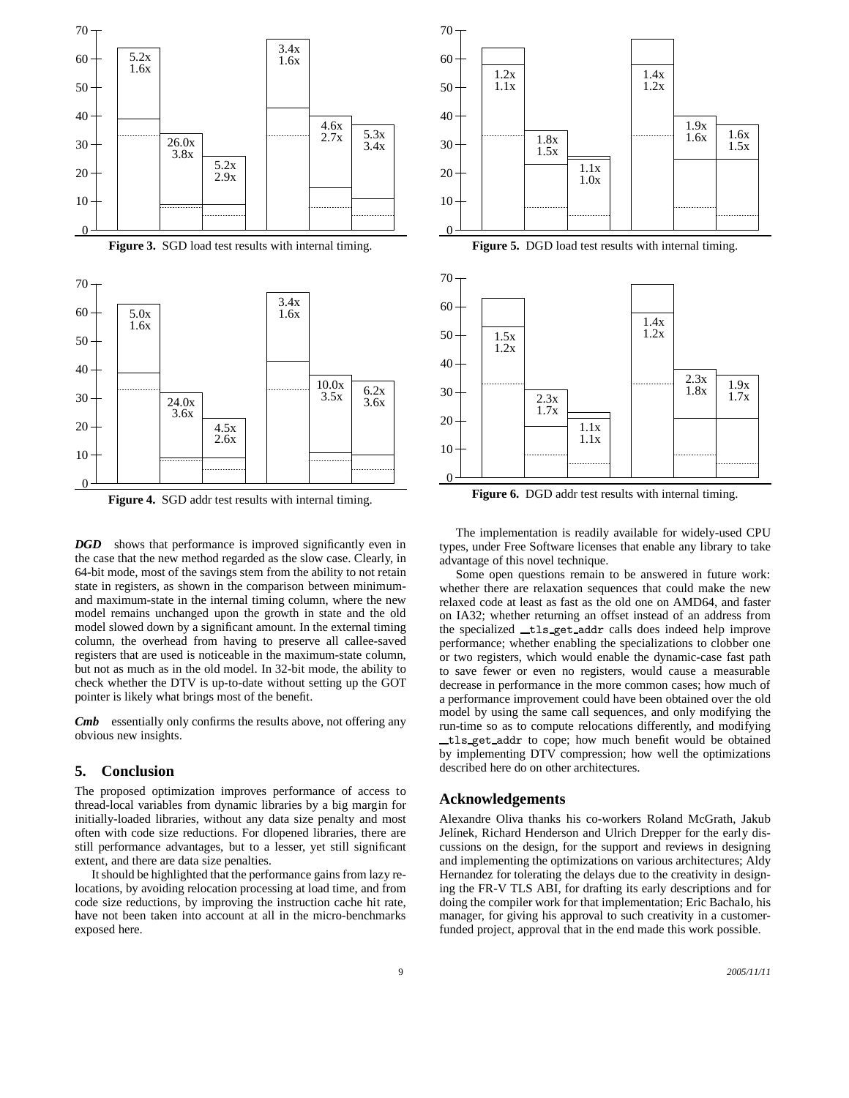

**Figure 4.** SGD addr test results with internal timing.

*DGD* shows that performance is improved significantly even in the case that the new method regarded as the slow case. Clearly, in 64-bit mode, most of the savings stem from the ability to not retain state in registers, as shown in the comparison between minimumand maximum-state in the internal timing column, where the new model remains unchanged upon the growth in state and the old model slowed down by a significant amount. In the external timing column, the overhead from having to preserve all callee-saved registers that are used is noticeable in the maximum-state column, but not as much as in the old model. In 32-bit mode, the ability to check whether the DTV is up-to-date without setting up the GOT pointer is likely what brings most of the benefit.

*Cmb* essentially only confirms the results above, not offering any obvious new insights.

#### **5. Conclusion**

The proposed optimization improves performance of access to thread-local variables from dynamic libraries by a big margin for initially-loaded libraries, without any data size penalty and most often with code size reductions. For dlopened libraries, there are still performance advantages, but to a lesser, yet still significant extent, and there are data size penalties.

It should be highlighted that the performance gains from lazy relocations, by avoiding relocation processing at load time, and from code size reductions, by improving the instruction cache hit rate, have not been taken into account at all in the micro-benchmarks exposed here.





Figure 6. DGD addr test results with internal timing.

The implementation is readily available for widely-used CPU types, under Free Software licenses that enable any library to take advantage of this novel technique.

Some open questions remain to be answered in future work: whether there are relaxation sequences that could make the new relaxed code at least as fast as the old one on AMD64, and faster on IA32; whether returning an offset instead of an address from the specialized tls get addr calls does indeed help improve performance; whether enabling the specializations to clobber one or two registers, which would enable the dynamic-case fast path to save fewer or even no registers, would cause a measurable decrease in performance in the more common cases; how much of a performance improvement could have been obtained over the old model by using the same call sequences, and only modifying the run-time so as to compute relocations differently, and modifying tls get addr to cope; how much benefit would be obtained by implementing DTV compression; how well the optimizations described here do on other architectures.

# **Acknowledgements**

Alexandre Oliva thanks his co-workers Roland McGrath, Jakub Jelínek, Richard Henderson and Ulrich Drepper for the early discussions on the design, for the support and reviews in designing and implementing the optimizations on various architectures; Aldy Hernandez for tolerating the delays due to the creativity in designing the FR-V TLS ABI, for drafting its early descriptions and for doing the compiler work for that implementation; Eric Bachalo, his manager, for giving his approval to such creativity in a customerfunded project, approval that in the end made this work possible.